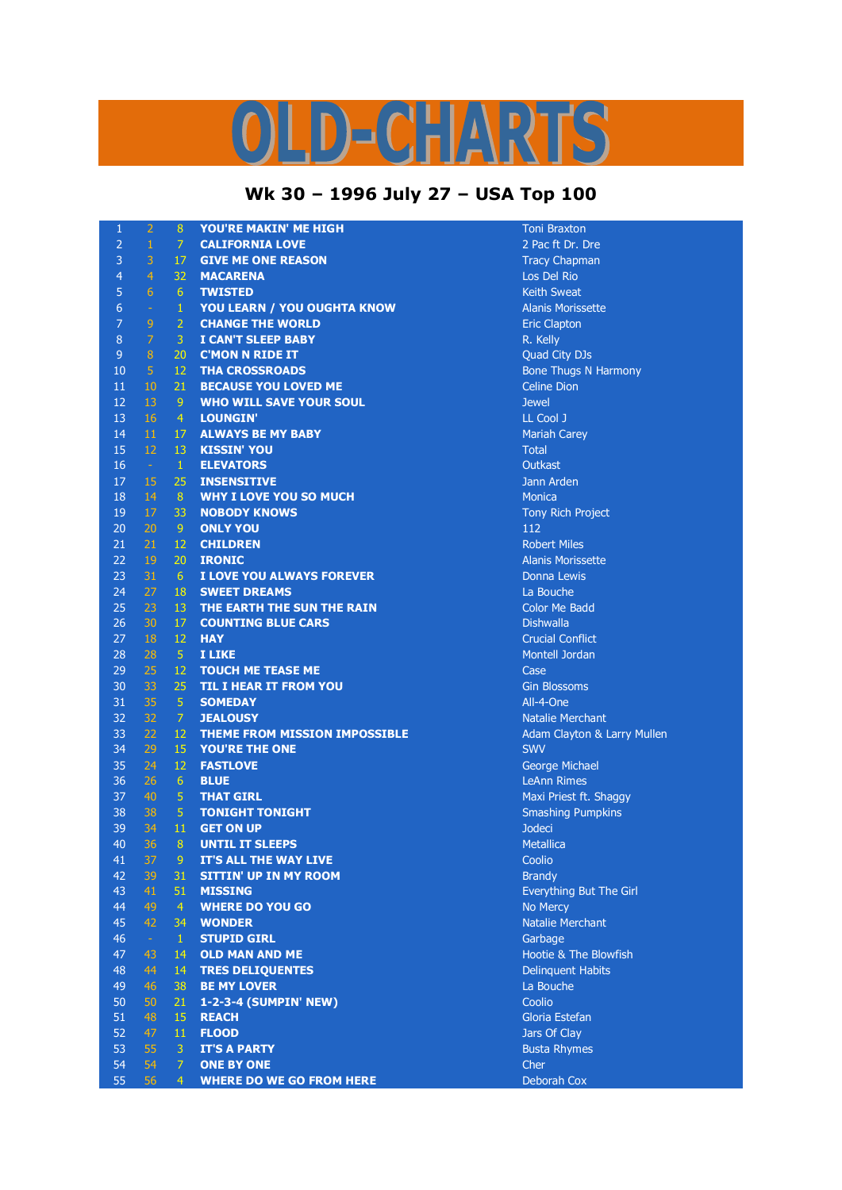## S  $D = C + N R$

## **Wk 30 – 1996 July 27 – USA Top 100**

| $\mathbf{1}$    | $\overline{2}$ | $\boldsymbol{8}$ | <b>YOU'RE MAKIN' ME HIGH</b>                   | <b>Toni Braxton</b>                       |
|-----------------|----------------|------------------|------------------------------------------------|-------------------------------------------|
| $\overline{2}$  | $\,1\,$        | $\overline{7}$   | <b>CALIFORNIA LOVE</b>                         | 2 Pac ft Dr. Dre                          |
| 3               | 3              | 17               | <b>GIVE ME ONE REASON</b>                      | <b>Tracy Chapman</b>                      |
| $\overline{4}$  | $\overline{4}$ | 32               | <b>MACARENA</b>                                | Los Del Rio                               |
| 5               | 6              | 6                | <b>TWISTED</b>                                 | <b>Keith Sweat</b>                        |
| $6\phantom{1}6$ | $\equiv$       | $\mathbf 1$      | <b>YOU LEARN / YOU OUGHTA KNOW</b>             | <b>Alanis Morissette</b>                  |
| $\overline{7}$  | 9              | $\overline{2}$   | <b>CHANGE THE WORLD</b>                        | <b>Eric Clapton</b>                       |
| 8               | $\overline{7}$ | 3                | <b>I CAN'T SLEEP BABY</b>                      | R. Kelly                                  |
| $\overline{9}$  | $\, 8$         | 20               | <b>C'MON N RIDE IT</b>                         | Quad City DJs                             |
| 10              | $\overline{5}$ | 12               | <b>THA CROSSROADS</b>                          | <b>Bone Thugs N Harmony</b>               |
| 11              | 10             | 21               | <b>BECAUSE YOU LOVED ME</b>                    | <b>Celine Dion</b>                        |
| 12              | 13             | 9                | <b>WHO WILL SAVE YOUR SOUL</b>                 | <b>Jewel</b>                              |
| 13              | 16             | $\overline{4}$   | <b>LOUNGIN'</b>                                | LL Cool J                                 |
| 14              | 11             | 17               | <b>ALWAYS BE MY BABY</b>                       | <b>Mariah Carey</b>                       |
| 15              | 12             | 13               | <b>KISSIN' YOU</b>                             | <b>Total</b>                              |
| 16              | $\sim$         | $\mathbf{1}$     | <b>ELEVATORS</b>                               | <b>Outkast</b>                            |
| 17              | 15             | 25               | <b>INSENSITIVE</b>                             | Jann Arden                                |
| 18              | 14             | 8                | <b>WHY I LOVE YOU SO MUCH</b>                  | <b>Monica</b>                             |
| 19              | 17             | 33               | <b>NOBODY KNOWS</b>                            | Tony Rich Project                         |
| 20              | 20             | 9                | <b>ONLY YOU</b>                                | 112                                       |
| 21              | 21             | 12               | <b>CHILDREN</b>                                | <b>Robert Miles</b>                       |
| 22              | 19             | 20               | <b>IRONIC</b>                                  | <b>Alanis Morissette</b>                  |
| 23              | 31             | 6                | I LOVE YOU ALWAYS FOREVER                      | Donna Lewis                               |
| 24              | 27             | 18               | <b>SWEET DREAMS</b>                            | La Bouche                                 |
| 25              | 23             | 13               | THE EARTH THE SUN THE RAIN                     | <b>Color Me Badd</b>                      |
| 26              | 30             | 17               | <b>COUNTING BLUE CARS</b>                      | <b>Dishwalla</b>                          |
| 27              | 18             | 12               | <b>HAY</b>                                     | <b>Crucial Conflict</b>                   |
| 28              | 28             | $\sqrt{5}$       | I LIKE                                         | Montell Jordan                            |
| 29              | 25             | 12               | <b>TOUCH ME TEASE ME</b>                       | Case                                      |
| 30              | 33             | 25               | <b>TIL I HEAR IT FROM YOU</b>                  | <b>Gin Blossoms</b>                       |
| 31              | 35             | $\overline{5}$   | <b>SOMEDAY</b>                                 | All-4-One                                 |
| 32              | 32             | $\overline{7}$   | <b>JEALOUSY</b>                                | <b>Natalie Merchant</b>                   |
| 33              | 22             | 12               | <b>THEME FROM MISSION IMPOSSIBLE</b>           |                                           |
| 34              | 29             | 15               | <b>YOU'RE THE ONE</b>                          | Adam Clayton & Larry Mullen<br><b>SWV</b> |
| 35              | 24             | 12               | <b>FASTLOVE</b>                                | George Michael                            |
| 36              | 26             | 6                | <b>BLUE</b>                                    | <b>LeAnn Rimes</b>                        |
| 37              | 40             | 5                | <b>THAT GIRL</b>                               | Maxi Priest ft. Shaggy                    |
| 38              | 38             | 5                | <b>TONIGHT TONIGHT</b>                         | <b>Smashing Pumpkins</b>                  |
| 39              | 34             | 11               |                                                |                                           |
| 40              | 36             | 8                | <b>GET ON UP</b><br><b>UNTIL IT SLEEPS</b>     | <b>Jodeci</b><br><b>Metallica</b>         |
|                 | 37             | 9                |                                                | Coolio                                    |
| 41<br>42        |                | 31               | IT'S ALL THE WAY LIVE                          |                                           |
| 43              | 39<br>41       | 51               | <b>SITTIN' UP IN MY ROOM</b><br><b>MISSING</b> | <b>Brandy</b>                             |
| 44              | 49             | $\overline{4}$   | <b>WHERE DO YOU GO</b>                         | Everything But The Girl<br>No Mercy       |
| 45              | 42             | 34               |                                                | <b>Natalie Merchant</b>                   |
|                 |                |                  | <b>WONDER</b>                                  |                                           |
| 46<br>47        | $\omega$<br>43 | $\mathbf{1}$     | <b>STUPID GIRL</b>                             | Garbage                                   |
|                 |                | 14               | <b>OLD MAN AND ME</b>                          | Hootie & The Blowfish                     |
| 48              | 44             | 14               | <b>TRES DELIQUENTES</b>                        | <b>Delinquent Habits</b>                  |
| 49              | 46             | 38               | <b>BE MY LOVER</b>                             | La Bouche                                 |
| 50              | 50             | 21               | 1-2-3-4 (SUMPIN' NEW)                          | Coolio                                    |
| 51              | 48             | 15               | <b>REACH</b>                                   | Gloria Estefan                            |
| 52              | 47             | 11               | <b>FLOOD</b>                                   | Jars Of Clay                              |
| 53              | 55             | 3                | <b>IT'S A PARTY</b>                            | <b>Busta Rhymes</b>                       |
| 54              | 54             | $\overline{7}$   | <b>ONE BY ONE</b>                              | Cher                                      |
| 55              | 56             | $\overline{4}$   | <b>WHERE DO WE GO FROM HERE</b>                | Deborah Cox                               |